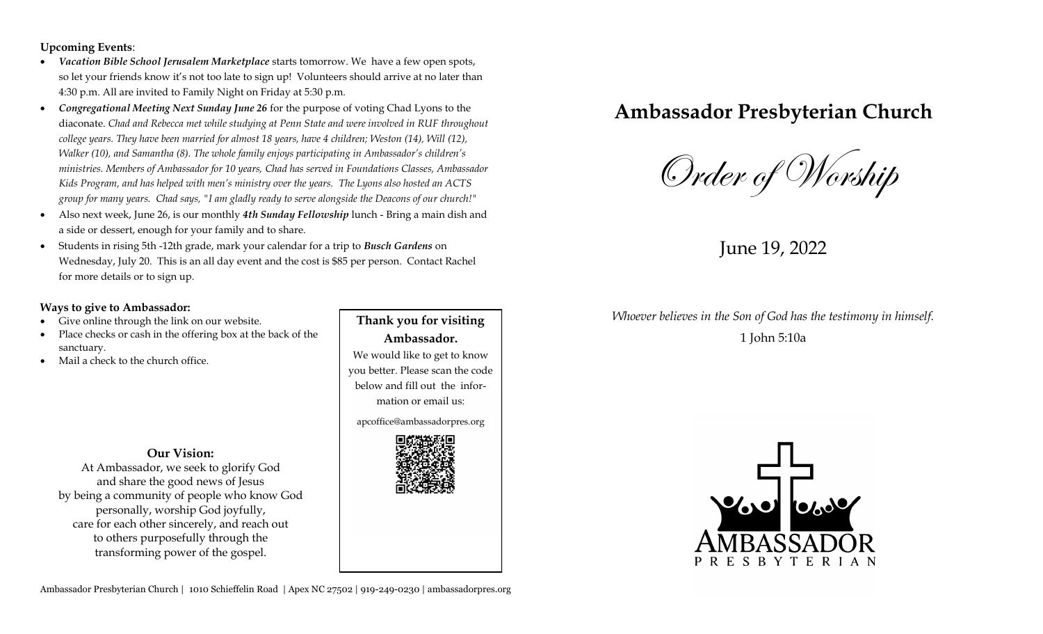**Upcoming Events**:

- *Vacation Bible School Jerusalem Marketplace* starts tomorrow. We have a few open spots, so let your friends know it's not too late to sign up! Volunteers should arrive at no later than 4:30 p.m. All are invited to Family Night on Friday at 5:30 p.m.
- *Congregational Meeting Next Sunday June 26* for the purpose of voting Chad Lyons to the diaconate. *Chad and Rebecca met while studying at Penn State and were involved in RUF throughout college years. They have been married for almost 18 years, have 4 children; Weston (14), Will (12), Walker (10), and Samantha (8). The whole family enjoys participating in Ambassador's children's ministries. Members of Ambassador for 10 years, Chad has served in Foundations Classes, Ambassador Kids Program, and has helped with men's ministry over the years. The Lyons also hosted an ACTS group for many years. Chad says, "I am gladly ready to serve alongside the Deacons of our church!"*
- Also next week, June 26, is our monthly *4th Sunday Fellowship* lunch Bring a main dish and a side or dessert, enough for your family and to share.
- Students in rising 5th -12th grade, mark your calendar for a trip to *Busch Gardens* on Wednesday, July 20. This is an all day event and the cost is \$85 per person. Contact Rachel for more details or to sign up.

#### **Ways to give to Ambassador:**

- Give online through the link on our website.
- Place checks or cash in the offering box at the back of the sanctuary.
- Mail a check to the church office.

#### **Our Vision:**

At Ambassador, we seek to glorify God and share the good news of Jesus by being a community of people who know God personally, worship God joyfully, care for each other sincerely, and reach out to others purposefully through the transforming power of the gospel.

**Thank you for visiting Ambassador.**  We would like to get to know you better. Please scan the code below and fill out the information or email us:

apcoffice@ambassadorpres.org



# **Ambassador Presbyterian Church**

Order of Worship

June 19, 2022

## *Whoever believes in the Son of God has the testimony in himself.*  1 John 5:10a

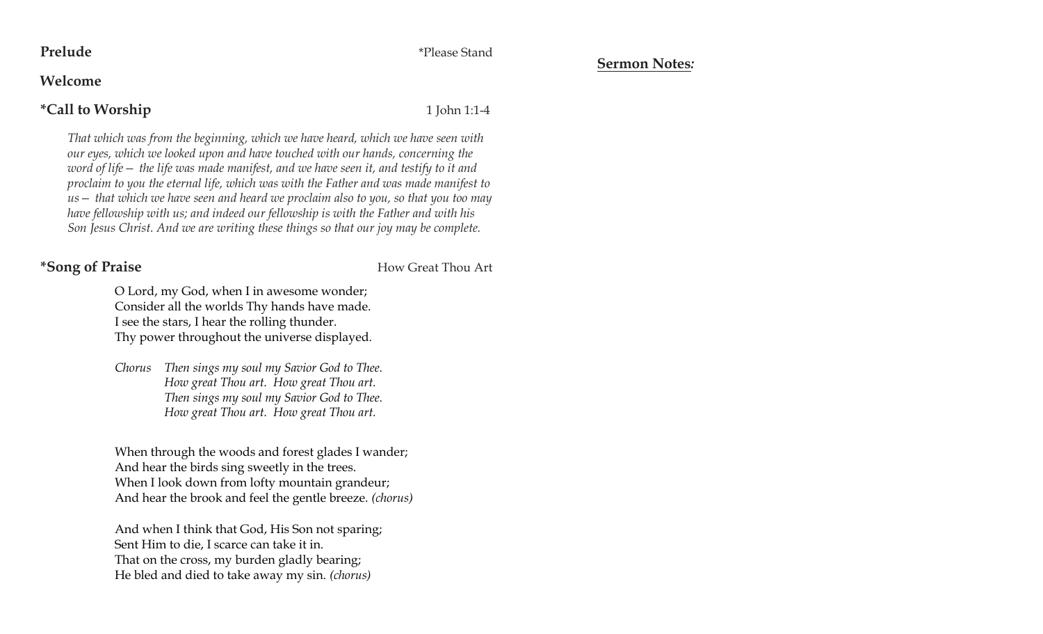**Prelude** \*Please Stand

**Sermon Notes***:*

### **Welcome**

# **\*Call to Worship** 1 John 1:1-4

*That which was from the beginning, which we have heard, which we have seen with our eyes, which we looked upon and have touched with our hands, concerning the word of life— the life was made manifest, and we have seen it, and testify to it and proclaim to you the eternal life, which was with the Father and was made manifest to us— that which we have seen and heard we proclaim also to you, so that you too may have fellowship with us; and indeed our fellowship is with the Father and with his Son Jesus Christ. And we are writing these things so that our joy may be complete.*

**\*Song of Praise** How Great Thou Art

O Lord, my God, when I in awesome wonder; Consider all the worlds Thy hands have made. I see the stars, I hear the rolling thunder. Thy power throughout the universe displayed.

*Chorus Then sings my soul my Savior God to Thee. How great Thou art. How great Thou art. Then sings my soul my Savior God to Thee. How great Thou art. How great Thou art.*

When through the woods and forest glades I wander; And hear the birds sing sweetly in the trees. When I look down from lofty mountain grandeur; And hear the brook and feel the gentle breeze. *(chorus)*

And when I think that God, His Son not sparing; Sent Him to die, I scarce can take it in. That on the cross, my burden gladly bearing; He bled and died to take away my sin. *(chorus)*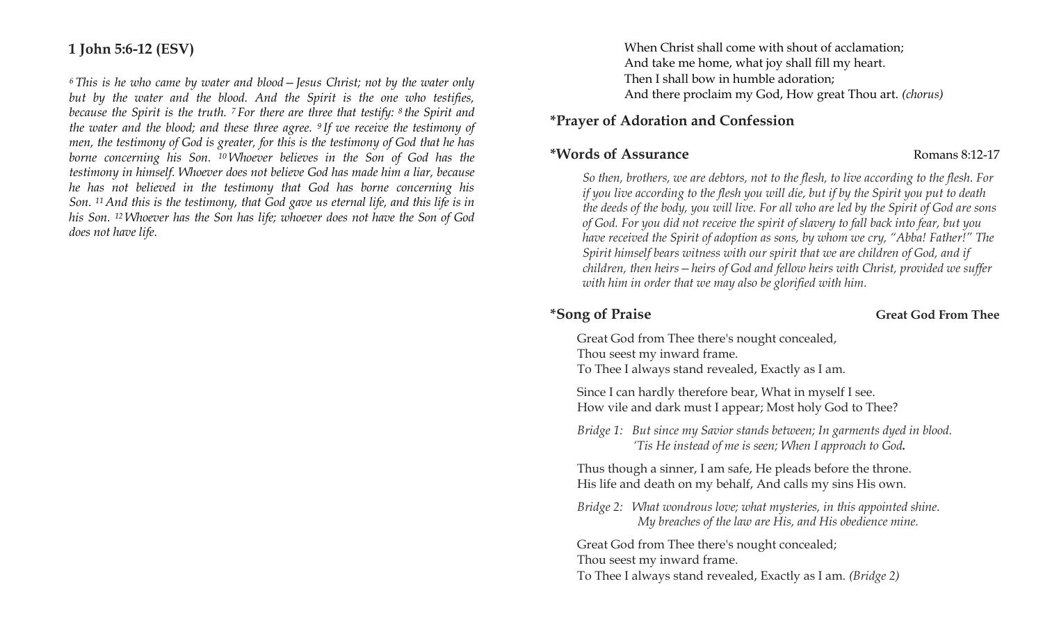# **1 John 5:6-12 (ESV)**

*<sup>6</sup> This is he who came by water and blood—Jesus Christ; not by the water only but by the water and the blood. And the Spirit is the one who testifies, because the Spirit is the truth. <sup>7</sup> For there are three that testify: <sup>8</sup> the Spirit and the water and the blood; and these three agree. <sup>9</sup> If we receive the testimony of men, the testimony of God is greater, for this is the testimony of God that he has borne concerning his Son. <sup>10</sup> Whoever believes in the Son of God has the testimony in himself. Whoever does not believe God has made him a liar, because he has not believed in the testimony that God has borne concerning his Son. <sup>11</sup> And this is the testimony, that God gave us eternal life, and this life is in his Son. <sup>12</sup> Whoever has the Son has life; whoever does not have the Son of God does not have life*.

When Christ shall come with shout of acclamation; And take me home, what joy shall fill my heart. Then I shall bow in humble adoration; And there proclaim my God, How great Thou art. *(chorus)*

### **\*Prayer of Adoration and Confession**

### **\*Words of Assurance Romans 8:12-17**

*So then, brothers, we are debtors, not to the flesh, to live according to the flesh. For if you live according to the flesh you will die, but if by the Spirit you put to death the deeds of the body, you will live. For all who are led by the Spirit of God are sons of God. For you did not receive the spirit of slavery to fall back into fear, but you have received the Spirit of adoption as sons, by whom we cry, "Abba! Father!" The Spirit himself bears witness with our spirit that we are children of God, and if children, then heirs—heirs of God and fellow heirs with Christ, provided we suffer with him in order that we may also be glorified with him.*

#### \*Song of Praise **Great God From Thee**

Great God from Thee there's nought concealed, Thou seest my inward frame. To Thee I always stand revealed, Exactly as I am.

Since I can hardly therefore bear, What in myself I see. How vile and dark must I appear; Most holy God to Thee?

*Bridge 1: But since my Savior stands between; In garments dyed in blood. 'Tis He instead of me is seen; When I approach to God.*

Thus though a sinner, I am safe, He pleads before the throne. His life and death on my behalf, And calls my sins His own.

*Bridge 2: What wondrous love; what mysteries, in this appointed shine. My breaches of the law are His, and His obedience mine.*

Great God from Thee there's nought concealed; Thou seest my inward frame. To Thee I always stand revealed, Exactly as I am. *(Bridge 2)*